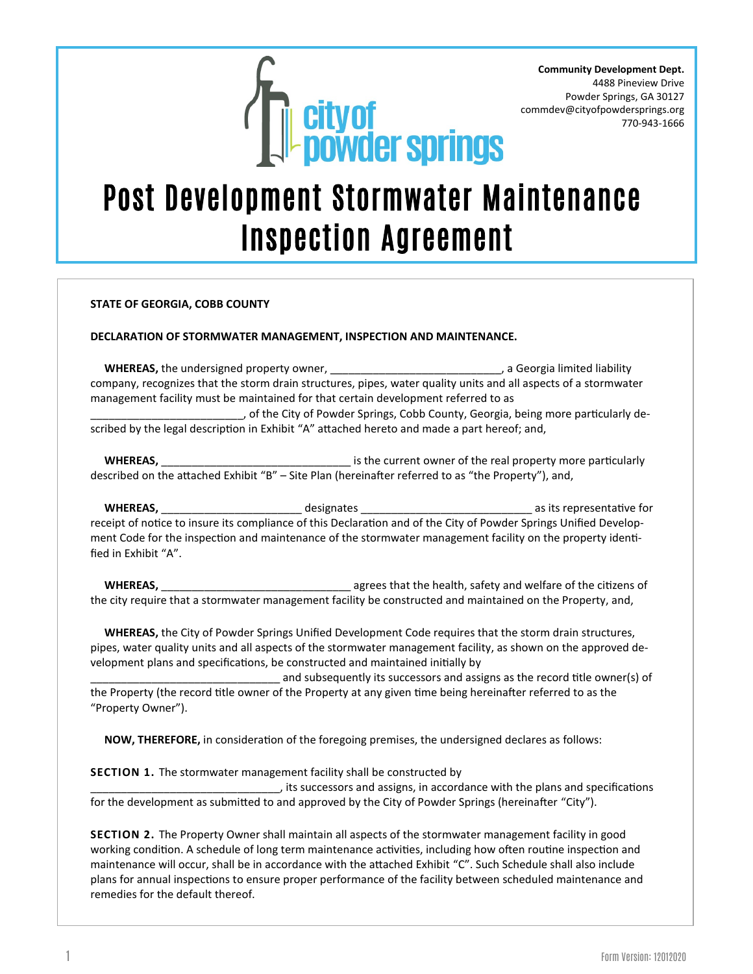

**Community Development Dept.** 4488 Pineview Drive Powder Springs, GA 30127 commdev@cityofpowdersprings.org 770-943-1666

## Post Development Stormwater Maintenance Inspection Agreement

#### **STATE OF GEORGIA, COBB COUNTY**

#### **DECLARATION OF STORMWATER MANAGEMENT, INSPECTION AND MAINTENANCE.**

**WHEREAS,** the undersigned property owner, \_\_\_\_\_\_\_\_\_\_\_\_\_\_\_\_\_\_\_\_\_\_\_\_\_\_\_\_\_\_\_, a Georgia limited liability company, recognizes that the storm drain structures, pipes, water quality units and all aspects of a stormwater management facility must be maintained for that certain development referred to as

\_\_\_\_\_\_\_\_\_\_\_\_\_\_\_\_\_\_\_\_\_\_\_\_\_, of the City of Powder Springs, Cobb County, Georgia, being more particularly described by the legal description in Exhibit "A" attached hereto and made a part hereof; and,

 **WHEREAS,** \_\_\_\_\_\_\_\_\_\_\_\_\_\_\_\_\_\_\_\_\_\_\_\_\_\_\_\_\_\_\_ is the current owner of the real property more particularly described on the attached Exhibit "B" – Site Plan (hereinafter referred to as "the Property"), and,

 **WHEREAS,** \_\_\_\_\_\_\_\_\_\_\_\_\_\_\_\_\_\_\_\_\_\_\_ designates \_\_\_\_\_\_\_\_\_\_\_\_\_\_\_\_\_\_\_\_\_\_\_\_\_\_\_\_ as its representative for receipt of notice to insure its compliance of this Declaration and of the City of Powder Springs Unified Development Code for the inspection and maintenance of the stormwater management facility on the property identified in Exhibit "A".

 **WHEREAS,** \_\_\_\_\_\_\_\_\_\_\_\_\_\_\_\_\_\_\_\_\_\_\_\_\_\_\_\_\_\_\_ agrees that the health, safety and welfare of the citizens of the city require that a stormwater management facility be constructed and maintained on the Property, and,

 **WHEREAS,** the City of Powder Springs Unified Development Code requires that the storm drain structures, pipes, water quality units and all aspects of the stormwater management facility, as shown on the approved development plans and specifications, be constructed and maintained initially by

and subsequently its successors and assigns as the record title owner(s) of the Property (the record title owner of the Property at any given time being hereinafter referred to as the "Property Owner").

 **NOW, THEREFORE,** in consideration of the foregoing premises, the undersigned declares as follows:

### **SECTION 1.** The stormwater management facility shall be constructed by

\_\_\_\_\_\_\_\_\_\_\_\_\_\_\_\_\_\_\_\_\_\_\_\_\_\_\_\_\_\_\_, its successors and assigns, in accordance with the plans and specifications for the development as submitted to and approved by the City of Powder Springs (hereinafter "City").

**SECTION 2.** The Property Owner shall maintain all aspects of the stormwater management facility in good working condition. A schedule of long term maintenance activities, including how often routine inspection and maintenance will occur, shall be in accordance with the attached Exhibit "C". Such Schedule shall also include plans for annual inspections to ensure proper performance of the facility between scheduled maintenance and remedies for the default thereof.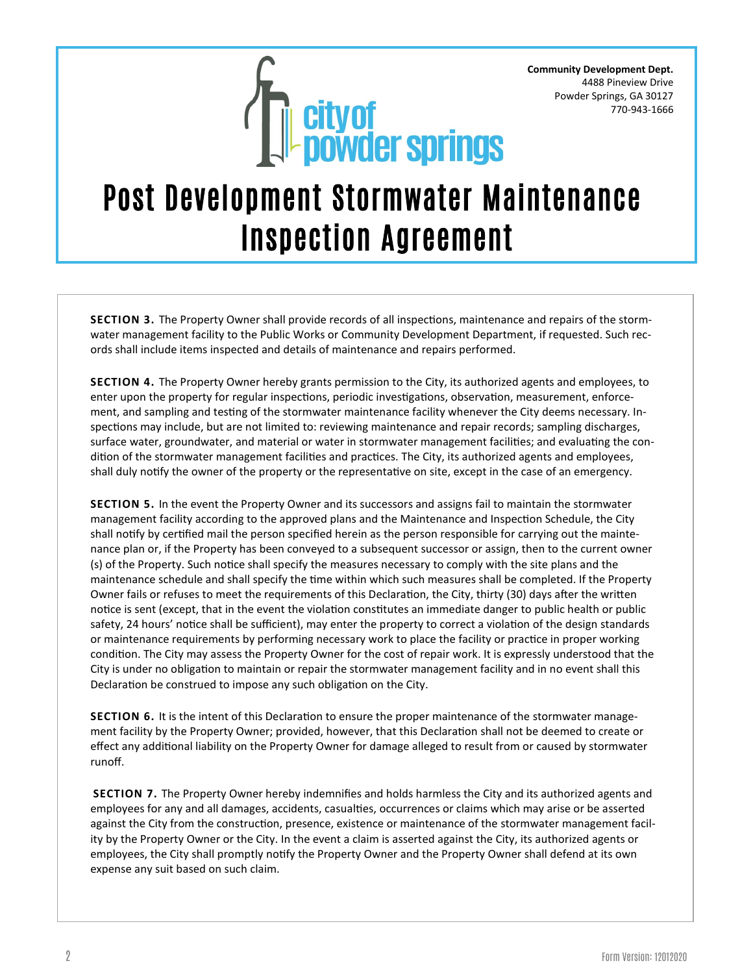

### Post Development Stormwater Maintenance Inspection Agreement

**SECTION 3.** The Property Owner shall provide records of all inspections, maintenance and repairs of the stormwater management facility to the Public Works or Community Development Department, if requested. Such records shall include items inspected and details of maintenance and repairs performed.

**SECTION 4.** The Property Owner hereby grants permission to the City, its authorized agents and employees, to enter upon the property for regular inspections, periodic investigations, observation, measurement, enforcement, and sampling and testing of the stormwater maintenance facility whenever the City deems necessary. Inspections may include, but are not limited to: reviewing maintenance and repair records; sampling discharges, surface water, groundwater, and material or water in stormwater management facilities; and evaluating the condition of the stormwater management facilities and practices. The City, its authorized agents and employees, shall duly notify the owner of the property or the representative on site, except in the case of an emergency.

**SECTION 5.** In the event the Property Owner and its successors and assigns fail to maintain the stormwater management facility according to the approved plans and the Maintenance and Inspection Schedule, the City shall notify by certified mail the person specified herein as the person responsible for carrying out the maintenance plan or, if the Property has been conveyed to a subsequent successor or assign, then to the current owner (s) of the Property. Such notice shall specify the measures necessary to comply with the site plans and the maintenance schedule and shall specify the time within which such measures shall be completed. If the Property Owner fails or refuses to meet the requirements of this Declaration, the City, thirty (30) days after the written notice is sent (except, that in the event the violation constitutes an immediate danger to public health or public safety, 24 hours' notice shall be sufficient), may enter the property to correct a violation of the design standards or maintenance requirements by performing necessary work to place the facility or practice in proper working condition. The City may assess the Property Owner for the cost of repair work. It is expressly understood that the City is under no obligation to maintain or repair the stormwater management facility and in no event shall this Declaration be construed to impose any such obligation on the City.

**SECTION 6.** It is the intent of this Declaration to ensure the proper maintenance of the stormwater management facility by the Property Owner; provided, however, that this Declaration shall not be deemed to create or effect any additional liability on the Property Owner for damage alleged to result from or caused by stormwater runoff.

**SECTION 7.** The Property Owner hereby indemnifies and holds harmless the City and its authorized agents and employees for any and all damages, accidents, casualties, occurrences or claims which may arise or be asserted against the City from the construction, presence, existence or maintenance of the stormwater management facility by the Property Owner or the City. In the event a claim is asserted against the City, its authorized agents or employees, the City shall promptly notify the Property Owner and the Property Owner shall defend at its own expense any suit based on such claim.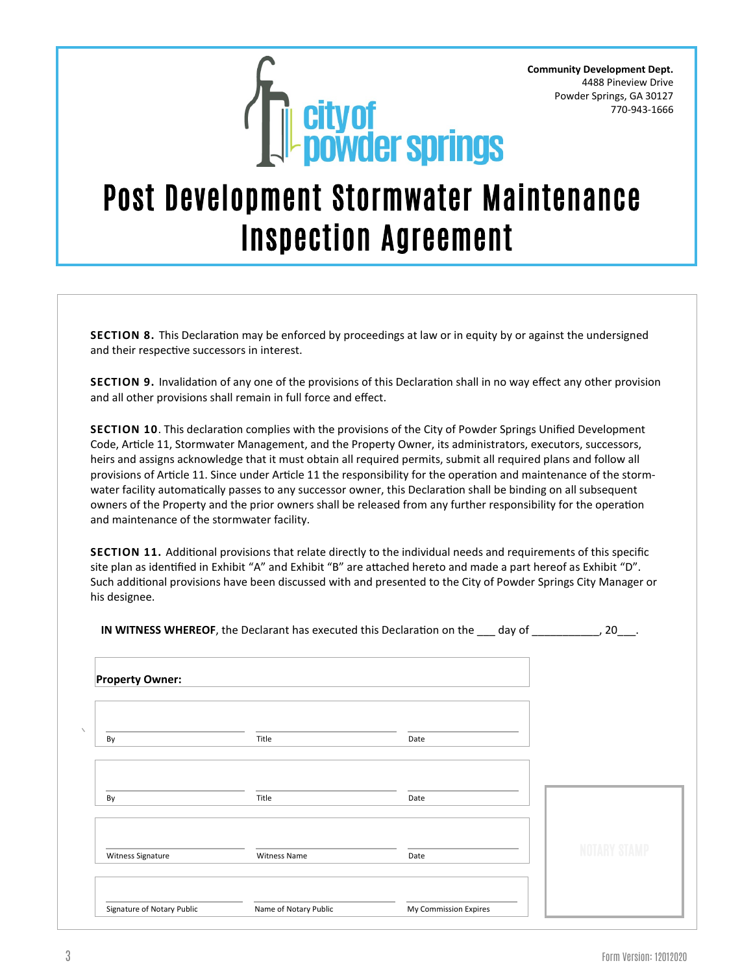

### Post Development Stormwater Maintenance Inspection Agreement

**SECTION 8.** This Declaration may be enforced by proceedings at law or in equity by or against the undersigned and their respective successors in interest.

**SECTION 9.** Invalidation of any one of the provisions of this Declaration shall in no way effect any other provision and all other provisions shall remain in full force and effect.

**SECTION 10**. This declaration complies with the provisions of the City of Powder Springs Unified Development Code, Article 11, Stormwater Management, and the Property Owner, its administrators, executors, successors, heirs and assigns acknowledge that it must obtain all required permits, submit all required plans and follow all provisions of Article 11. Since under Article 11 the responsibility for the operation and maintenance of the stormwater facility automatically passes to any successor owner, this Declaration shall be binding on all subsequent owners of the Property and the prior owners shall be released from any further responsibility for the operation and maintenance of the stormwater facility.

**SECTION 11.** Additional provisions that relate directly to the individual needs and requirements of this specific site plan as identified in Exhibit "A" and Exhibit "B" are attached hereto and made a part hereof as Exhibit "D". Such additional provisions have been discussed with and presented to the City of Powder Springs City Manager or his designee.

|  |  | <b>IN WITNESS WHEREOF</b> , the Declarant has executed this Declaration on the | dav of |  |
|--|--|--------------------------------------------------------------------------------|--------|--|
|--|--|--------------------------------------------------------------------------------|--------|--|

| <b>Property Owner:</b>     |                       |                       |  |
|----------------------------|-----------------------|-----------------------|--|
| By                         | Title                 | Date                  |  |
| By                         | Title                 | Date                  |  |
| Witness Signature          | <b>Witness Name</b>   | Date                  |  |
| Signature of Notary Public | Name of Notary Public | My Commission Expires |  |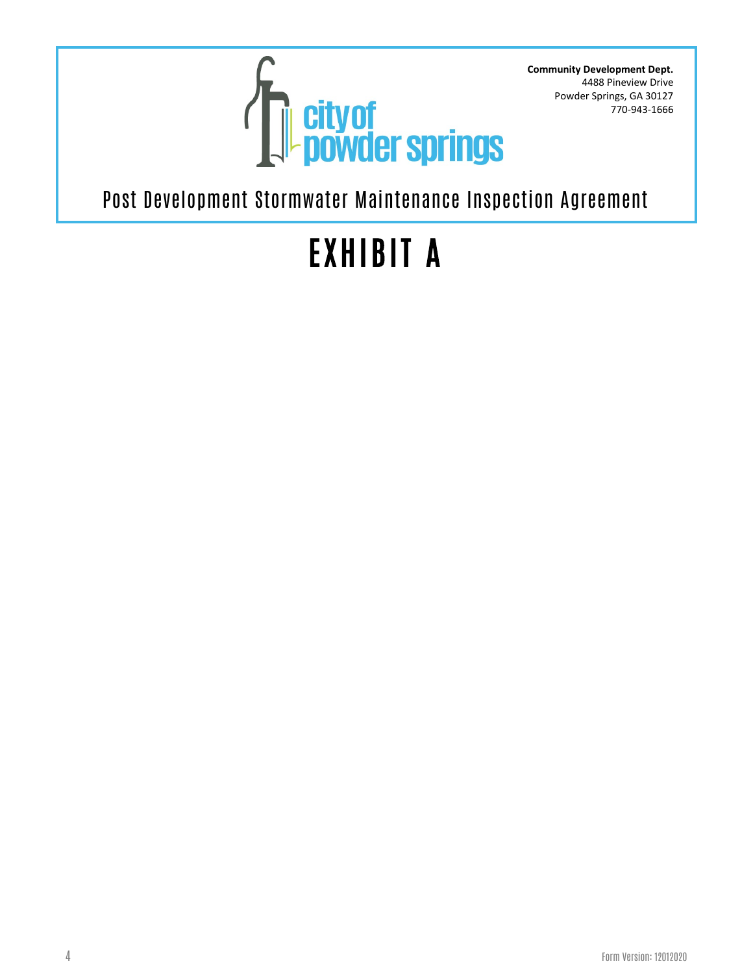

Post Development Stormwater Maintenance Inspection Agreement

# EXHIBIT A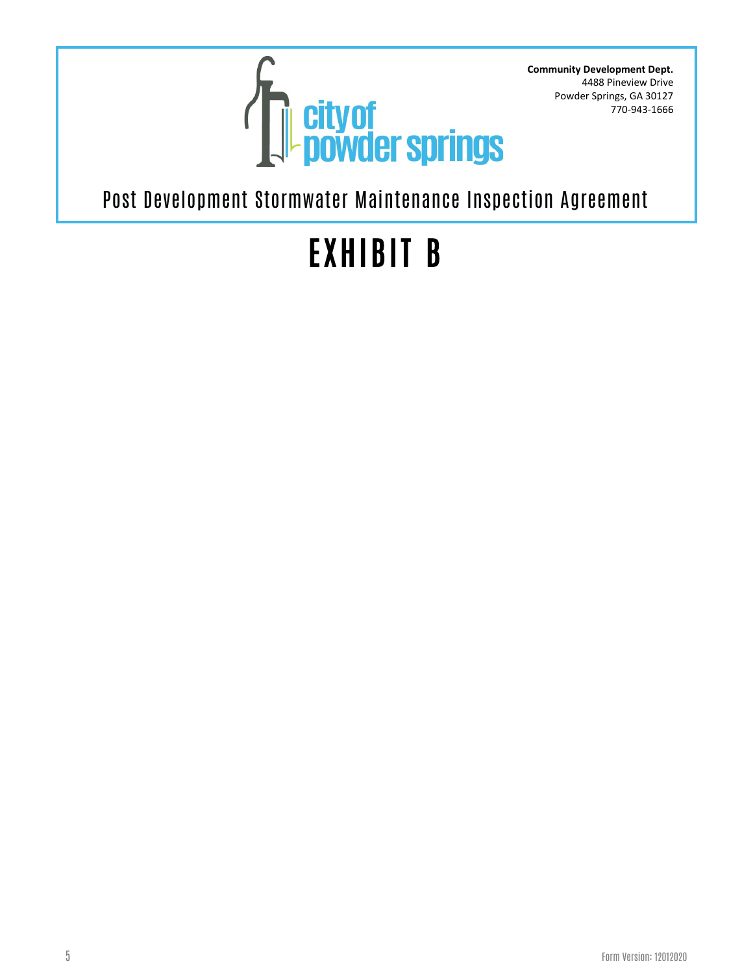

Post Development Stormwater Maintenance Inspection Agreement

# EXHIBIT B